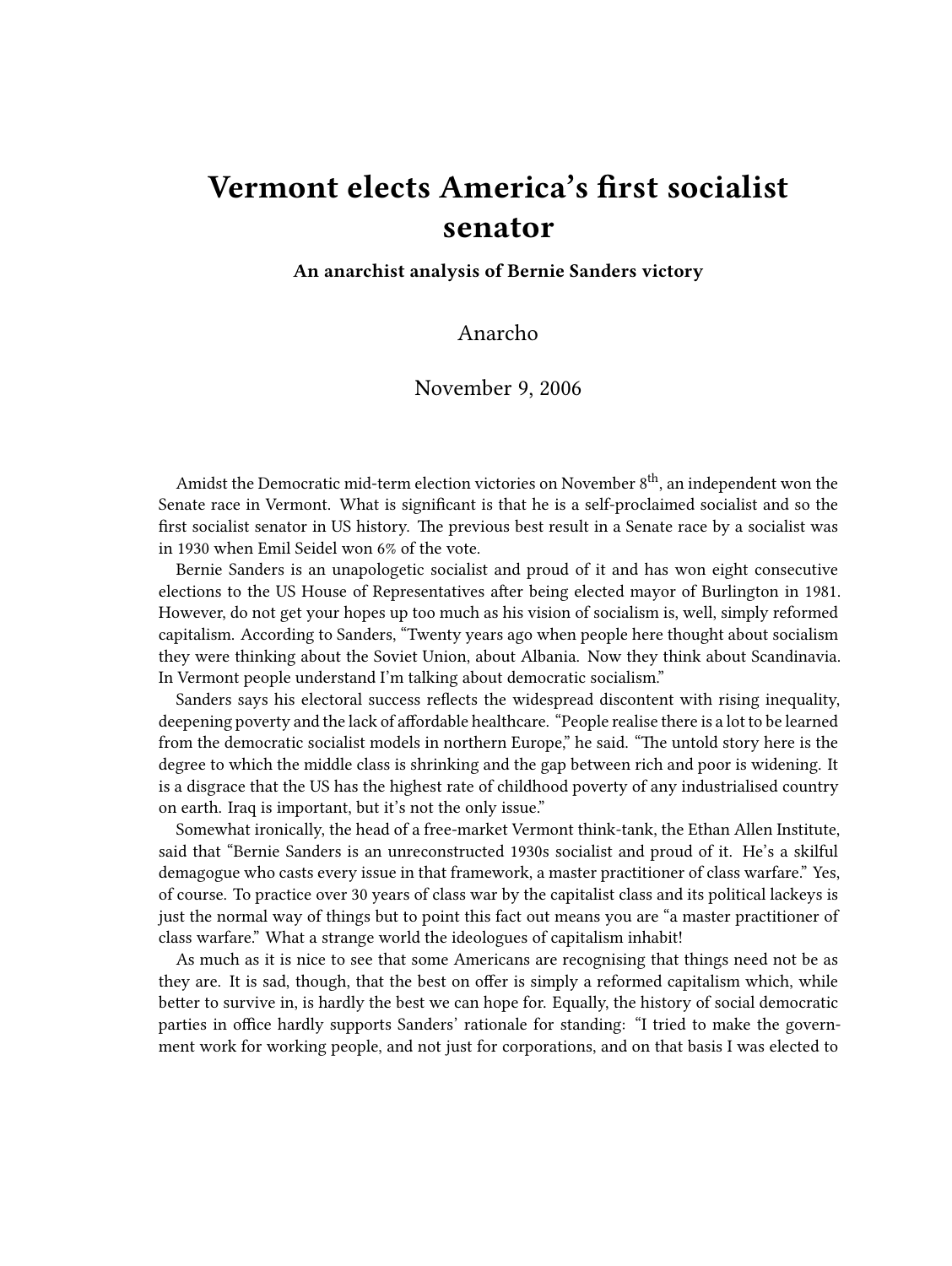## **Vermont elects America's first socialist senator**

**An anarchist analysis of Bernie Sanders victory**

## Anarcho

## November 9, 2006

Amidst the Democratic mid-term election victories on November  $8<sup>th</sup>$ , an independent won the Senate race in Vermont. What is significant is that he is a self-proclaimed socialist and so the first socialist senator in US history. The previous best result in a Senate race by a socialist was in 1930 when Emil Seidel won 6% of the vote.

Bernie Sanders is an unapologetic socialist and proud of it and has won eight consecutive elections to the US House of Representatives after being elected mayor of Burlington in 1981. However, do not get your hopes up too much as his vision of socialism is, well, simply reformed capitalism. According to Sanders, "Twenty years ago when people here thought about socialism they were thinking about the Soviet Union, about Albania. Now they think about Scandinavia. In Vermont people understand I'm talking about democratic socialism."

Sanders says his electoral success reflects the widespread discontent with rising inequality, deepening poverty and the lack of affordable healthcare. "People realise there is a lot to be learned from the democratic socialist models in northern Europe," he said. "The untold story here is the degree to which the middle class is shrinking and the gap between rich and poor is widening. It is a disgrace that the US has the highest rate of childhood poverty of any industrialised country on earth. Iraq is important, but it's not the only issue."

Somewhat ironically, the head of a free-market Vermont think-tank, the Ethan Allen Institute, said that "Bernie Sanders is an unreconstructed 1930s socialist and proud of it. He's a skilful demagogue who casts every issue in that framework, a master practitioner of class warfare." Yes, of course. To practice over 30 years of class war by the capitalist class and its political lackeys is just the normal way of things but to point this fact out means you are "a master practitioner of class warfare." What a strange world the ideologues of capitalism inhabit!

As much as it is nice to see that some Americans are recognising that things need not be as they are. It is sad, though, that the best on offer is simply a reformed capitalism which, while better to survive in, is hardly the best we can hope for. Equally, the history of social democratic parties in office hardly supports Sanders' rationale for standing: "I tried to make the government work for working people, and not just for corporations, and on that basis I was elected to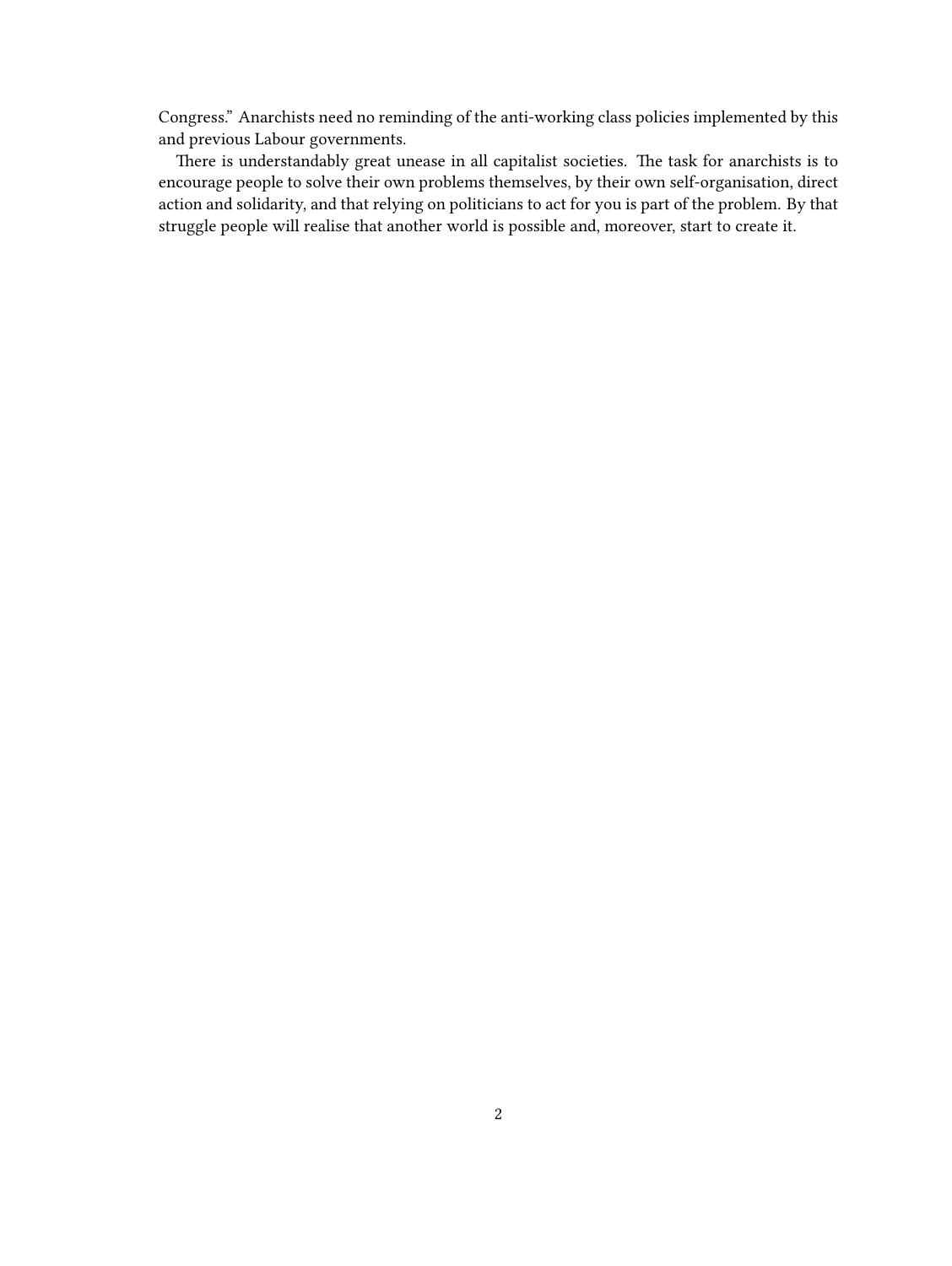Congress." Anarchists need no reminding of the anti-working class policies implemented by this and previous Labour governments.

There is understandably great unease in all capitalist societies. The task for anarchists is to encourage people to solve their own problems themselves, by their own self-organisation, direct action and solidarity, and that relying on politicians to act for you is part of the problem. By that struggle people will realise that another world is possible and, moreover, start to create it.